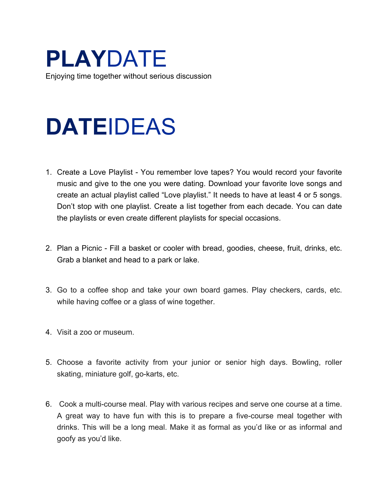**PLAY**DATE Enjoying time together without serious discussion

## **DATE**IDEAS

- 1. Create a Love Playlist You remember love tapes? You would record your favorite music and give to the one you were dating. Download your favorite love songs and create an actual playlist called "Love playlist." It needs to have at least 4 or 5 songs. Don't stop with one playlist. Create a list together from each decade. You can date the playlists or even create different playlists for special occasions.
- 2. Plan a Picnic Fill a basket or cooler with bread, goodies, cheese, fruit, drinks, etc. Grab a blanket and head to a park or lake.
- 3. Go to a coffee shop and take your own board games. Play checkers, cards, etc. while having coffee or a glass of wine together.
- 4. Visit a zoo or museum.
- 5. Choose a favorite activity from your junior or senior high days. Bowling, roller skating, miniature golf, go-karts, etc.
- 6. Cook a multi-course meal. Play with various recipes and serve one course at a time. A great way to have fun with this is to prepare a five-course meal together with drinks. This will be a long meal. Make it as formal as you'd like or as informal and goofy as you'd like.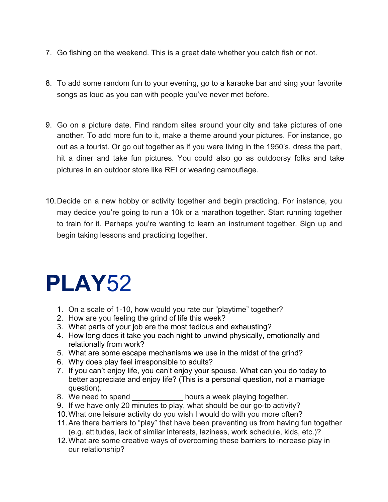- 7. Go fishing on the weekend. This is a great date whether you catch fish or not.
- 8. To add some random fun to your evening, go to a karaoke bar and sing your favorite songs as loud as you can with people you've never met before.
- 9. Go on a picture date. Find random sites around your city and take pictures of one another. To add more fun to it, make a theme around your pictures. For instance, go out as a tourist. Or go out together as if you were living in the 1950's, dress the part, hit a diner and take fun pictures. You could also go as outdoorsy folks and take pictures in an outdoor store like REI or wearing camouflage.
- 10.Decide on a new hobby or activity together and begin practicing. For instance, you may decide you're going to run a 10k or a marathon together. Start running together to train for it. Perhaps you're wanting to learn an instrument together. Sign up and begin taking lessons and practicing together.

### **PLAY**52

- 1. On a scale of 1-10, how would you rate our "playtime" together?
- 2. How are you feeling the grind of life this week?
- 3. What parts of your job are the most tedious and exhausting?
- 4. How long does it take you each night to unwind physically, emotionally and relationally from work?
- 5. What are some escape mechanisms we use in the midst of the grind?
- 6. Why does play feel irresponsible to adults?
- 7. If you can't enjoy life, you can't enjoy your spouse. What can you do today to better appreciate and enjoy life? (This is a personal question, not a marriage question).
- 8. We need to spend bours a week playing together.
- 9. If we have only 20 minutes to play, what should be our go-to activity?
- 10.What one leisure activity do you wish I would do with you more often?
- 11.Are there barriers to "play" that have been preventing us from having fun together (e.g. attitudes, lack of similar interests, laziness, work schedule, kids, etc.)?
- 12.What are some creative ways of overcoming these barriers to increase play in our relationship?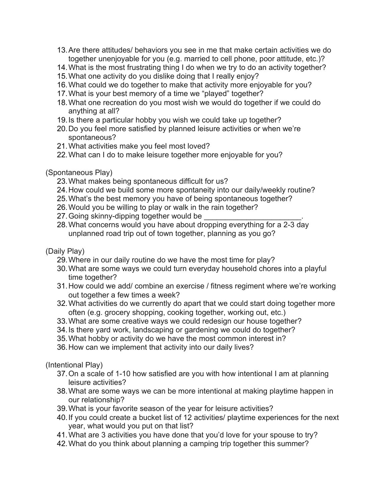- 13.Are there attitudes/ behaviors you see in me that make certain activities we do together unenjoyable for you (e.g. married to cell phone, poor attitude, etc.)?
- 14.What is the most frustrating thing I do when we try to do an activity together?
- 15.What one activity do you dislike doing that I really enjoy?
- 16.What could we do together to make that activity more enjoyable for you?
- 17.What is your best memory of a time we "played" together?
- 18.What one recreation do you most wish we would do together if we could do anything at all?
- 19.Is there a particular hobby you wish we could take up together?
- 20.Do you feel more satisfied by planned leisure activities or when we're spontaneous?
- 21.What activities make you feel most loved?
- 22.What can I do to make leisure together more enjoyable for you?

#### (Spontaneous Play)

- 23.What makes being spontaneous difficult for us?
- 24.How could we build some more spontaneity into our daily/weekly routine?
- 25.What's the best memory you have of being spontaneous together?
- 26.Would you be willing to play or walk in the rain together?
- 27. Going skinny-dipping together would be
- 28.What concerns would you have about dropping everything for a 2-3 day unplanned road trip out of town together, planning as you go?

#### (Daily Play)

- 29.Where in our daily routine do we have the most time for play?
- 30.What are some ways we could turn everyday household chores into a playful time together?
- 31.How could we add/ combine an exercise / fitness regiment where we're working out together a few times a week?
- 32.What activities do we currently do apart that we could start doing together more often (e.g. grocery shopping, cooking together, working out, etc.)
- 33.What are some creative ways we could redesign our house together?
- 34.Is there yard work, landscaping or gardening we could do together?
- 35.What hobby or activity do we have the most common interest in?
- 36.How can we implement that activity into our daily lives?

(Intentional Play)

- 37.On a scale of 1-10 how satisfied are you with how intentional I am at planning leisure activities?
- 38.What are some ways we can be more intentional at making playtime happen in our relationship?
- 39.What is your favorite season of the year for leisure activities?
- 40.If you could create a bucket list of 12 activities/ playtime experiences for the next year, what would you put on that list?
- 41.What are 3 activities you have done that you'd love for your spouse to try?
- 42.What do you think about planning a camping trip together this summer?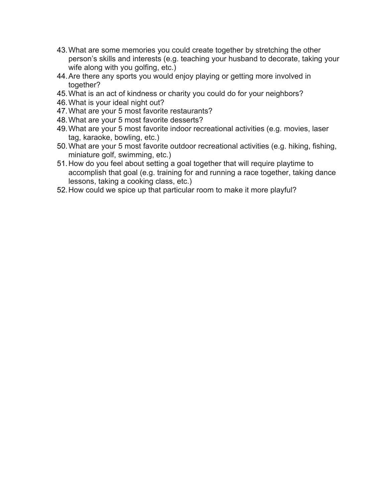- 43.What are some memories you could create together by stretching the other person's skills and interests (e.g. teaching your husband to decorate, taking your wife along with you golfing, etc.)
- 44.Are there any sports you would enjoy playing or getting more involved in together?
- 45.What is an act of kindness or charity you could do for your neighbors?
- 46.What is your ideal night out?
- 47.What are your 5 most favorite restaurants?
- 48.What are your 5 most favorite desserts?
- 49.What are your 5 most favorite indoor recreational activities (e.g. movies, laser tag, karaoke, bowling, etc.)
- 50.What are your 5 most favorite outdoor recreational activities (e.g. hiking, fishing, miniature golf, swimming, etc.)
- 51.How do you feel about setting a goal together that will require playtime to accomplish that goal (e.g. training for and running a race together, taking dance lessons, taking a cooking class, etc.)
- 52.How could we spice up that particular room to make it more playful?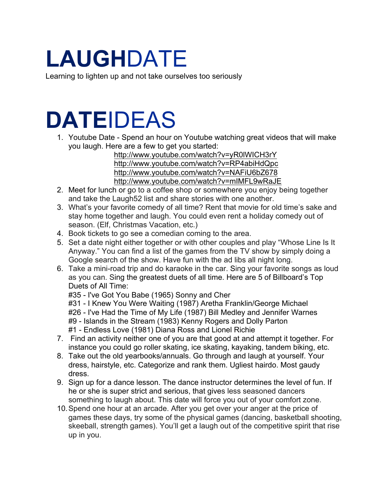# **LAUGH**DATE

Learning to lighten up and not take ourselves too seriously

## **DATE**IDEAS

1. Youtube Date - Spend an hour on Youtube watching great videos that will make you laugh. Here are a few to get you started:

http://www.youtube.com/watch?v=yR0lWICH3rY http://www.youtube.com/watch?v=RP4abiHdQpc http://www.youtube.com/watch?v=NAFiU6bZ678 http://www.youtube.com/watch?v=mIMFL9wRaJE

- 2. Meet for lunch or go to a coffee shop or somewhere you enjoy being together and take the Laugh52 list and share stories with one another.
- 3. What's your favorite comedy of all time? Rent that movie for old time's sake and stay home together and laugh. You could even rent a holiday comedy out of season. (Elf, Christmas Vacation, etc.)
- 4. Book tickets to go see a comedian coming to the area.
- 5. Set a date night either together or with other couples and play "Whose Line Is It Anyway." You can find a list of the games from the TV show by simply doing a Google search of the show. Have fun with the ad libs all night long.
- 6. Take a mini-road trip and do karaoke in the car. Sing your favorite songs as loud as you can. Sing the greatest duets of all time. Here are 5 of Billboard's Top Duets of All Time:

#35 - I've Got You Babe (1965) Sonny and Cher

#31 - I Knew You Were Waiting (1987) Aretha Franklin/George Michael #26 - I've Had the Time of My Life (1987) Bill Medley and Jennifer Warnes #9 - Islands in the Stream (1983) Kenny Rogers and Dolly Parton #1 - Endless Love (1981) Diana Ross and Lionel Richie

- 7. Find an activity neither one of you are that good at and attempt it together. For instance you could go roller skating, ice skating, kayaking, tandem biking, etc.
- 8. Take out the old yearbooks/annuals. Go through and laugh at yourself. Your dress, hairstyle, etc. Categorize and rank them. Ugliest hairdo. Most gaudy dress.
- 9. Sign up for a dance lesson. The dance instructor determines the level of fun. If he or she is super strict and serious, that gives less seasoned dancers something to laugh about. This date will force you out of your comfort zone.
- 10.Spend one hour at an arcade. After you get over your anger at the price of games these days, try some of the physical games (dancing, basketball shooting, skeeball, strength games). You'll get a laugh out of the competitive spirit that rise up in you.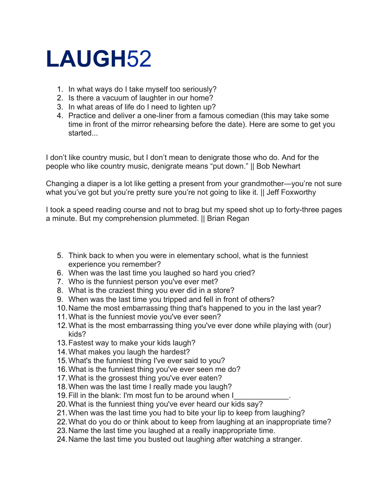## **LAUGH**52

- 1. In what ways do I take myself too seriously?
- 2. Is there a vacuum of laughter in our home?
- 3. In what areas of life do I need to lighten up?
- 4. Practice and deliver a one-liner from a famous comedian (this may take some time in front of the mirror rehearsing before the date). Here are some to get you started...

I don't like country music, but I don't mean to denigrate those who do. And for the people who like country music, denigrate means "put down." || Bob Newhart

Changing a diaper is a lot like getting a present from your grandmother—you're not sure what you've got but you're pretty sure you're not going to like it. || Jeff Foxworthy

I took a speed reading course and not to brag but my speed shot up to forty-three pages a minute. But my comprehension plummeted. || Brian Regan

- 5. Think back to when you were in elementary school, what is the funniest experience you remember?
- 6. When was the last time you laughed so hard you cried?
- 7. Who is the funniest person you've ever met?
- 8. What is the craziest thing you ever did in a store?
- 9. When was the last time you tripped and fell in front of others?
- 10.Name the most embarrassing thing that's happened to you in the last year?
- 11.What is the funniest movie you've ever seen?
- 12.What is the most embarrassing thing you've ever done while playing with (our) kids?
- 13.Fastest way to make your kids laugh?
- 14.What makes you laugh the hardest?
- 15.What's the funniest thing I've ever said to you?
- 16.What is the funniest thing you've ever seen me do?
- 17.What is the grossest thing you've ever eaten?
- 18.When was the last time I really made you laugh?
- 19. Fill in the blank: I'm most fun to be around when I
- 20.What is the funniest thing you've ever heard our kids say?
- 21.When was the last time you had to bite your lip to keep from laughing?
- 22.What do you do or think about to keep from laughing at an inappropriate time?
- 23.Name the last time you laughed at a really inappropriate time.
- 24.Name the last time you busted out laughing after watching a stranger.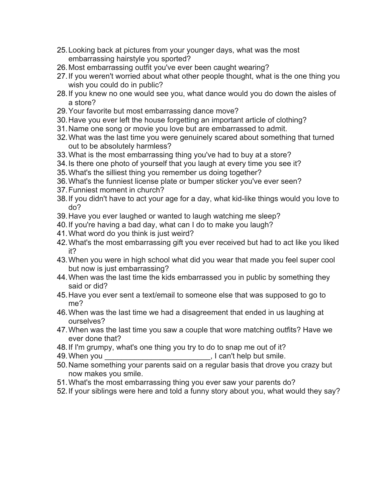- 25.Looking back at pictures from your younger days, what was the most embarrassing hairstyle you sported?
- 26.Most embarrassing outfit you've ever been caught wearing?
- 27.If you weren't worried about what other people thought, what is the one thing you wish you could do in public?
- 28.If you knew no one would see you, what dance would you do down the aisles of a store?
- 29.Your favorite but most embarrassing dance move?
- 30.Have you ever left the house forgetting an important article of clothing?
- 31.Name one song or movie you love but are embarrassed to admit.
- 32.What was the last time you were genuinely scared about something that turned out to be absolutely harmless?
- 33.What is the most embarrassing thing you've had to buy at a store?
- 34.Is there one photo of yourself that you laugh at every time you see it?
- 35.What's the silliest thing you remember us doing together?
- 36.What's the funniest license plate or bumper sticker you've ever seen?
- 37.Funniest moment in church?
- 38.If you didn't have to act your age for a day, what kid-like things would you love to do?
- 39.Have you ever laughed or wanted to laugh watching me sleep?
- 40.If you're having a bad day, what can I do to make you laugh?
- 41.What word do you think is just weird?
- 42.What's the most embarrassing gift you ever received but had to act like you liked it?
- 43.When you were in high school what did you wear that made you feel super cool but now is just embarrassing?
- 44.When was the last time the kids embarrassed you in public by something they said or did?
- 45.Have you ever sent a text/email to someone else that was supposed to go to me?
- 46.When was the last time we had a disagreement that ended in us laughing at ourselves?
- 47.When was the last time you saw a couple that wore matching outfits? Have we ever done that?
- 48.If I'm grumpy, what's one thing you try to do to snap me out of it?
- 49. When you can't help but smile.
- 50.Name something your parents said on a regular basis that drove you crazy but now makes you smile.
- 51.What's the most embarrassing thing you ever saw your parents do?
- 52.If your siblings were here and told a funny story about you, what would they say?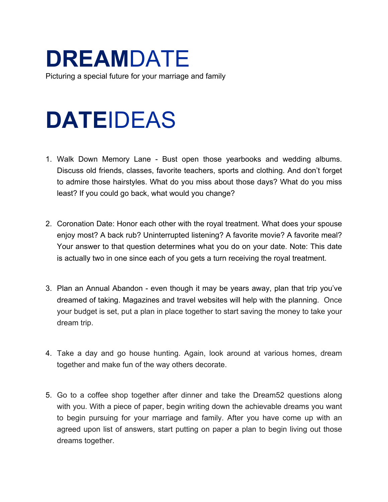# **DREAM**DATE

Picturing a special future for your marriage and family

## **DATE**IDEAS

- 1. Walk Down Memory Lane Bust open those yearbooks and wedding albums. Discuss old friends, classes, favorite teachers, sports and clothing. And don't forget to admire those hairstyles. What do you miss about those days? What do you miss least? If you could go back, what would you change?
- 2. Coronation Date: Honor each other with the royal treatment. What does your spouse enjoy most? A back rub? Uninterrupted listening? A favorite movie? A favorite meal? Your answer to that question determines what you do on your date. Note: This date is actually two in one since each of you gets a turn receiving the royal treatment.
- 3. Plan an Annual Abandon even though it may be years away, plan that trip you've dreamed of taking. Magazines and travel websites will help with the planning. Once your budget is set, put a plan in place together to start saving the money to take your dream trip.
- 4. Take a day and go house hunting. Again, look around at various homes, dream together and make fun of the way others decorate.
- 5. Go to a coffee shop together after dinner and take the Dream52 questions along with you. With a piece of paper, begin writing down the achievable dreams you want to begin pursuing for your marriage and family. After you have come up with an agreed upon list of answers, start putting on paper a plan to begin living out those dreams together.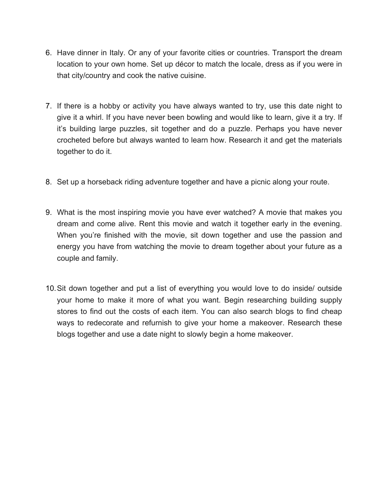- 6. Have dinner in Italy. Or any of your favorite cities or countries. Transport the dream location to your own home. Set up décor to match the locale, dress as if you were in that city/country and cook the native cuisine.
- 7. If there is a hobby or activity you have always wanted to try, use this date night to give it a whirl. If you have never been bowling and would like to learn, give it a try. If it's building large puzzles, sit together and do a puzzle. Perhaps you have never crocheted before but always wanted to learn how. Research it and get the materials together to do it.
- 8. Set up a horseback riding adventure together and have a picnic along your route.
- 9. What is the most inspiring movie you have ever watched? A movie that makes you dream and come alive. Rent this movie and watch it together early in the evening. When you're finished with the movie, sit down together and use the passion and energy you have from watching the movie to dream together about your future as a couple and family.
- 10.Sit down together and put a list of everything you would love to do inside/ outside your home to make it more of what you want. Begin researching building supply stores to find out the costs of each item. You can also search blogs to find cheap ways to redecorate and refurnish to give your home a makeover. Research these blogs together and use a date night to slowly begin a home makeover.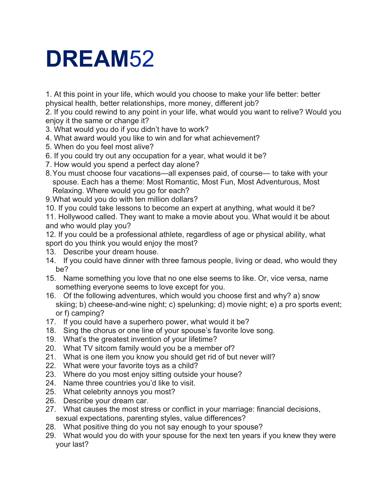## **DREAM**52

1. At this point in your life, which would you choose to make your life better: better physical health, better relationships, more money, different job?

2. If you could rewind to any point in your life, what would you want to relive? Would you enjoy it the same or change it?

- 3. What would you do if you didn't have to work?
- 4. What award would you like to win and for what achievement?
- 5. When do you feel most alive?
- 6. If you could try out any occupation for a year, what would it be?
- 7. How would you spend a perfect day alone?
- 8. You must choose four vacations—all expenses paid, of course— to take with your spouse. Each has a theme: Most Romantic, Most Fun, Most Adventurous, Most Relaxing. Where would you go for each?
- 9.What would you do with ten million dollars?
- 10. If you could take lessons to become an expert at anything, what would it be?

11. Hollywood called. They want to make a movie about you. What would it be about and who would play you?

12. If you could be a professional athlete, regardless of age or physical ability, what sport do you think you would enjoy the most?

- 13. Describe your dream house.
- 14. If you could have dinner with three famous people, living or dead, who would they be?
- 15. Name something you love that no one else seems to like. Or, vice versa, name something everyone seems to love except for you.
- 16. Of the following adventures, which would you choose first and why? a) snow skiing; b) cheese-and-wine night; c) spelunking; d) movie night; e) a pro sports event; or f) camping?
- 17. If you could have a superhero power, what would it be?
- 18. Sing the chorus or one line of your spouse's favorite love song.
- 19. What's the greatest invention of your lifetime?
- 20. What TV sitcom family would you be a member of?
- 21. What is one item you know you should get rid of but never will?
- 22. What were your favorite toys as a child?
- 23. Where do you most enjoy sitting outside your house?
- 24. Name three countries you'd like to visit.
- 25. What celebrity annoys you most?
- 26. Describe your dream car.
- 27. What causes the most stress or conflict in your marriage: financial decisions, sexual expectations, parenting styles, value differences?
- 28. What positive thing do you not say enough to your spouse?
- 29. What would you do with your spouse for the next ten years if you knew they were your last?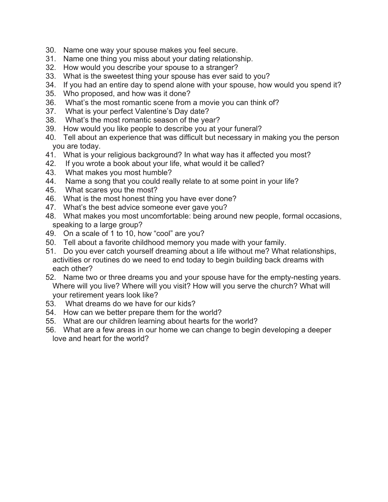- 30. Name one way your spouse makes you feel secure.
- 31. Name one thing you miss about your dating relationship.
- 32. How would you describe your spouse to a stranger?
- 33. What is the sweetest thing your spouse has ever said to you?
- 34. If you had an entire day to spend alone with your spouse, how would you spend it?
- 35. Who proposed, and how was it done?
- 36. What's the most romantic scene from a movie you can think of?
- 37. What is your perfect Valentine's Day date?
- 38. What's the most romantic season of the year?
- 39. How would you like people to describe you at your funeral?
- 40. Tell about an experience that was difficult but necessary in making you the person you are today.
- 41. What is your religious background? In what way has it affected you most?
- 42. If you wrote a book about your life, what would it be called?
- 43. What makes you most humble?
- 44. Name a song that you could really relate to at some point in your life?
- 45. What scares you the most?
- 46. What is the most honest thing you have ever done?
- 47. What's the best advice someone ever gave you?
- 48. What makes you most uncomfortable: being around new people, formal occasions, speaking to a large group?
- 49. On a scale of 1 to 10, how "cool" are you?
- 50. Tell about a favorite childhood memory you made with your family.
- 51. Do you ever catch yourself dreaming about a life without me? What relationships, activities or routines do we need to end today to begin building back dreams with each other?
- 52. Name two or three dreams you and your spouse have for the empty-nesting years. Where will you live? Where will you visit? How will you serve the church? What will your retirement years look like?
- 53. What dreams do we have for our kids?
- 54. How can we better prepare them for the world?
- 55. What are our children learning about hearts for the world?
- 56. What are a few areas in our home we can change to begin developing a deeper love and heart for the world?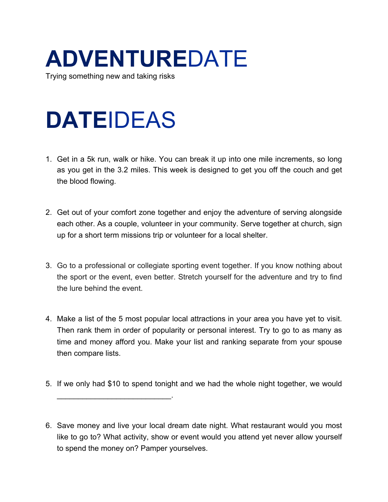# **ADVENTURE**DATE

Trying something new and taking risks

## **DATE**IDEAS

 $\mathcal{L}=\{1,2,3,4,5\}$ 

- 1. Get in a 5k run, walk or hike. You can break it up into one mile increments, so long as you get in the 3.2 miles. This week is designed to get you off the couch and get the blood flowing.
- 2. Get out of your comfort zone together and enjoy the adventure of serving alongside each other. As a couple, volunteer in your community. Serve together at church, sign up for a short term missions trip or volunteer for a local shelter.
- 3. Go to a professional or collegiate sporting event together. If you know nothing about the sport or the event, even better. Stretch yourself for the adventure and try to find the lure behind the event.
- 4. Make a list of the 5 most popular local attractions in your area you have yet to visit. Then rank them in order of popularity or personal interest. Try to go to as many as time and money afford you. Make your list and ranking separate from your spouse then compare lists.
- 5. If we only had \$10 to spend tonight and we had the whole night together, we would

<sup>6.</sup> Save money and live your local dream date night. What restaurant would you most like to go to? What activity, show or event would you attend yet never allow yourself to spend the money on? Pamper yourselves.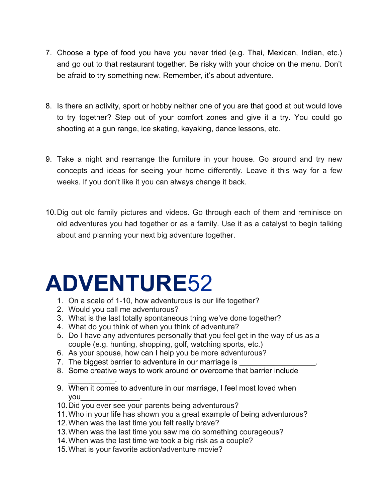- 7. Choose a type of food you have you never tried (e.g. Thai, Mexican, Indian, etc.) and go out to that restaurant together. Be risky with your choice on the menu. Don't be afraid to try something new. Remember, it's about adventure.
- 8. Is there an activity, sport or hobby neither one of you are that good at but would love to try together? Step out of your comfort zones and give it a try. You could go shooting at a gun range, ice skating, kayaking, dance lessons, etc.
- 9. Take a night and rearrange the furniture in your house. Go around and try new concepts and ideas for seeing your home differently. Leave it this way for a few weeks. If you don't like it you can always change it back.
- 10.Dig out old family pictures and videos. Go through each of them and reminisce on old adventures you had together or as a family. Use it as a catalyst to begin talking about and planning your next big adventure together.

### **ADVENTURE**52

- 1. On a scale of 1-10, how adventurous is our life together?
- 2. Would you call me adventurous?
- 3. What is the last totally spontaneous thing we've done together?
- 4. What do you think of when you think of adventure?
- 5. Do I have any adventures personally that you feel get in the way of us as a couple (e.g. hunting, shopping, golf, watching sports, etc.)
- 6. As your spouse, how can I help you be more adventurous?
- 7. The biggest barrier to adventure in our marriage is
- 8. Some creative ways to work around or overcome that barrier include
- \_\_\_\_\_\_\_\_\_\_\_. 9. When it comes to adventure in our marriage, I feel most loved when you\_\_\_\_\_\_\_\_\_\_\_\_\_\_.
- 10.Did you ever see your parents being adventurous?
- 11.Who in your life has shown you a great example of being adventurous?
- 12.When was the last time you felt really brave?
- 13.When was the last time you saw me do something courageous?
- 14.When was the last time we took a big risk as a couple?
- 15.What is your favorite action/adventure movie?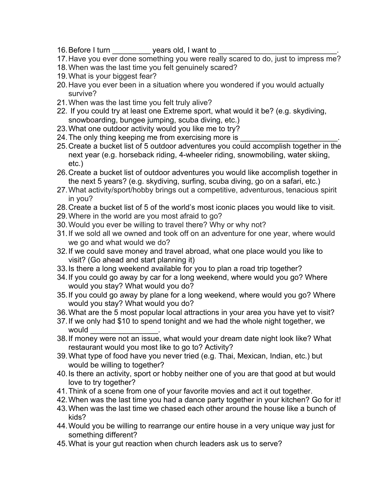- 16. Before I turn \_\_\_\_\_\_\_\_\_\_\_\_\_\_\_ years old, I want to
- 17.Have you ever done something you were really scared to do, just to impress me?
- 18.When was the last time you felt genuinely scared?
- 19.What is your biggest fear?
- 20.Have you ever been in a situation where you wondered if you would actually survive?
- 21.When was the last time you felt truly alive?
- 22. If you could try at least one Extreme sport, what would it be? (e.g. skydiving, snowboarding, bungee jumping, scuba diving, etc.)
- 23. What one outdoor activity would you like me to try?
- 24. The only thing keeping me from exercising more is
- 25. Create a bucket list of 5 outdoor adventures you could accomplish together in the next year (e.g. horseback riding, 4-wheeler riding, snowmobiling, water skiing, etc.)
- 26. Create a bucket list of outdoor adventures you would like accomplish together in the next 5 years? (e.g. skydiving, surfing, scuba diving, go on a safari, etc.)
- 27.What activity/sport/hobby brings out a competitive, adventurous, tenacious spirit in you?
- 28.Create a bucket list of 5 of the world's most iconic places you would like to visit.
- 29.Where in the world are you most afraid to go?
- 30.Would you ever be willing to travel there? Why or why not?
- 31.If we sold all we owned and took off on an adventure for one year, where would we go and what would we do?
- 32.If we could save money and travel abroad, what one place would you like to visit? (Go ahead and start planning it)
- 33. Is there a long weekend available for you to plan a road trip together?
- 34. If you could go away by car for a long weekend, where would you go? Where would you stay? What would you do?
- 35. If you could go away by plane for a long weekend, where would you go? Where would you stay? What would you do?
- 36. What are the 5 most popular local attractions in your area you have yet to visit?
- 37. If we only had \$10 to spend tonight and we had the whole night together, we would
- 38. If money were not an issue, what would your dream date night look like? What restaurant would you most like to go to? Activity?
- 39. What type of food have you never tried (e.g. Thai, Mexican, Indian, etc.) but would be willing to together?
- 40. Is there an activity, sport or hobby neither one of you are that good at but would love to try together?
- 41. Think of a scene from one of your favorite movies and act it out together.
- 42. When was the last time you had a dance party together in your kitchen? Go for it!
- 43. When was the last time we chased each other around the house like a bunch of kids?
- 44. Would you be willing to rearrange our entire house in a very unique way just for something different?
- 45. What is your gut reaction when church leaders ask us to serve?